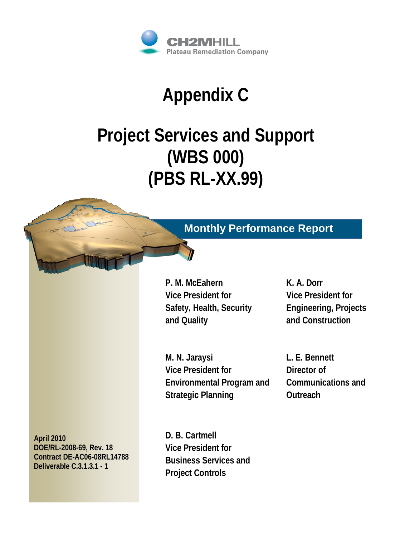

# **Appendix C**

# **Project Services and Support (WBS 000) (PBS RL-XX.99)**



**April 2010 DOE/RL-2008-69, Rev. 18 Contract DE-AC06-08RL14788 Deliverable C.3.1.3.1 - 1**

## **Monthly Performance Report**

**P. M. McEahern Vice President for Safety, Health, Security and Quality**

**K. A. Dorr Vice President for Engineering, Projects and Construction**

**M. N. Jaraysi Vice President for Environmental Program and Strategic Planning**

**L. E. Bennett Director of Communications and Outreach**

**D. B. Cartmell Vice President for Business Services and Project Controls**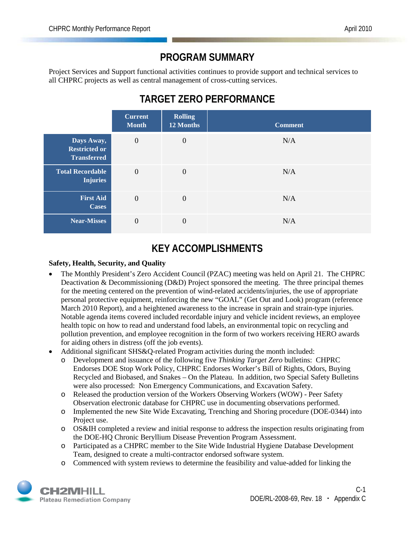## **PROGRAM SUMMARY**

Project Services and Support functional activities continues to provide support and technical services to all CHPRC projects as well as central management of cross-cutting services.

## **TARGET ZERO PERFORMANCE**

|                                                          | <b>Current</b><br><b>Month</b> | <b>Rolling</b><br>12 Months | <b>Comment</b> |
|----------------------------------------------------------|--------------------------------|-----------------------------|----------------|
| Days Away,<br><b>Restricted or</b><br><b>Transferred</b> | $\overline{0}$                 | $\mathbf{0}$                | N/A            |
| <b>Total Recordable</b><br><b>Injuries</b>               | $\overline{0}$                 | $\mathbf{0}$                | N/A            |
| <b>First Aid</b><br><b>Cases</b>                         | $\overline{0}$                 | $\mathbf{0}$                | N/A            |
| <b>Near-Misses</b>                                       | $\theta$                       | $\Omega$                    | N/A            |

## **KEY ACCOMPLISHMENTS**

#### **Safety, Health, Security, and Quality**

- The Monthly President's Zero Accident Council (PZAC) meeting was held on April 21. The CHPRC Deactivation & Decommissioning (D&D) Project sponsored the meeting. The three principal themes for the meeting centered on the prevention of wind-related accidents/injuries, the use of appropriate personal protective equipment, reinforcing the new "GOAL" (Get Out and Look) program (reference March 2010 Report), and a heightened awareness to the increase in sprain and strain-type injuries. Notable agenda items covered included recordable injury and vehicle incident reviews, an employee health topic on how to read and understand food labels, an environmental topic on recycling and pollution prevention, and employee recognition in the form of two workers receiving HERO awards for aiding others in distress (off the job events).
- Additional significant SHS&Q-related Program activities during the month included:
	- o Development and issuance of the following five *Thinking Target Zero* bulletins: CHPRC Endorses DOE Stop Work Policy, CHPRC Endorses Worker's Bill of Rights, Odors, Buying Recycled and Biobased, and Snakes – On the Plateau. In addition, two Special Safety Bulletins were also processed: Non Emergency Communications, and Excavation Safety.
	- o Released the production version of the Workers Observing Workers (WOW) Peer Safety Observation electronic database for CHPRC use in documenting observations performed.
	- o Implemented the new Site Wide Excavating, Trenching and Shoring procedure (DOE-0344) into Project use.
	- o OS&IH completed a review and initial response to address the inspection results originating from the DOE-HQ Chronic Beryllium Disease Prevention Program Assessment.
	- o Participated as a CHPRC member to the Site Wide Industrial Hygiene Database Development Team, designed to create a multi-contractor endorsed software system.
	- o Commenced with system reviews to determine the feasibility and value-added for linking the

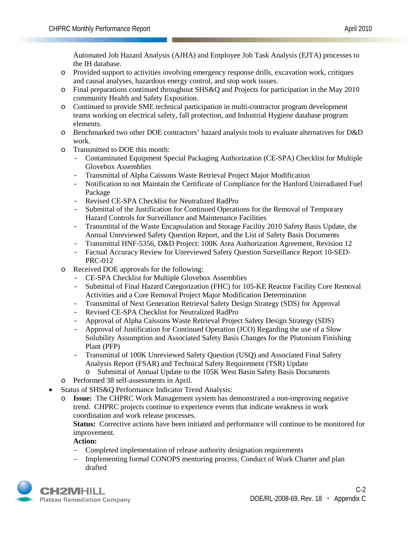Automated Job Hazard Analysis (AJHA) and Employee Job Task Analysis (EJTA) processes to the IH database.

- o Provided support to activities involving emergency response drills, excavation work, critiques and causal analyses, hazardous energy control, and stop work issues.
- o Final preparations continued throughout SHS&Q and Projects for participation in the May 2010 community Health and Safety Exposition.
- o Continued to provide SME technical participation in multi-contractor program development teams working on electrical safety, fall protection, and Industrial Hygiene database program elements.
- o Benchmarked two other DOE contractors' hazard analysis tools to evaluate alternatives for D&D work.
- o Transmitted to DOE this month:
	- Contaminated Equipment Special Packaging Authorization (CE-SPA) Checklist for Multiple Glovebox Assemblies
	- Transmittal of Alpha Caissons Waste Retrieval Project Major Modification
	- Notification to not Maintain the Certificate of Compliance for the Hanford Unirradiated Fuel Package
	- Revised CE-SPA Checklist for Neutralized RadPro
	- Submittal of the Justification for Continued Operations for the Removal of Temporary Hazard Controls for Surveillance and Maintenance Facilities
	- Transmittal of the Waste Encapsulation and Storage Facility 2010 Safety Basis Update, the Annual Unreviewed Safety Question Report, and the List of Safety Basis Documents
	- Transmittal HNF-5356, D&D Project: 100K Area Authorization Agreement, Revision 12
	- Factual Accuracy Review for Unreviewed Safety Question Surveillance Report 10-SED-PRC-012
- o Received DOE approvals for the following:
	- CE-SPA Checklist for Multiple Glovebox Assemblies
	- Submittal of Final Hazard Categorization (FHC) for 105-KE Reactor Facility Core Removal Activities and a Core Removal Project Major Modification Determination
	- Transmittal of Next Generation Retrieval Safety Design Strategy (SDS) for Approval
	- Revised CE-SPA Checklist for Neutralized RadPro
	- Approval of Alpha Caissons Waste Retrieval Project Safety Design Strategy (SDS)
	- Approval of Justification for Continued Operation (JCO) Regarding the use of a Slow Solubility Assumption and Associated Safety Basis Changes for the Plutonium Finishing Plant (PFP)
	- Transmittal of 100K Unreviewed Safety Question (USQ) and Associated Final Safety Analysis Report (FSAR) and Technical Safety Requirement (TSR) Update
		- o Submittal of Annual Update to the 105K West Basin Safety Basis Documents
- o Performed 38 self-assessments in April.
- Status of SHS&O Performance Indicator Trend Analysis:
	- o **Issue:** The CHPRC Work Management system has demonstrated a non-improving negative trend. CHPRC projects continue to experience events that indicate weakness in work coordination and work release processes.

**Status:** Corrective actions have been initiated and performance will continue to be monitored for improvement.

**Action:**

- − Completed implementation of release authority designation requirements
- − Implementing formal CONOPS mentoring process, Conduct of Work Charter and plan drafted

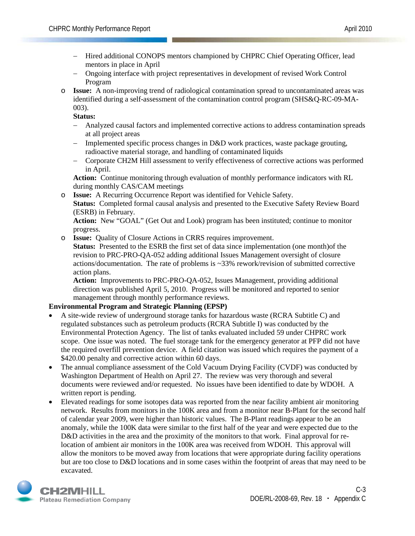- − Hired additional CONOPS mentors championed by CHPRC Chief Operating Officer, lead mentors in place in April
- − Ongoing interface with project representatives in development of revised Work Control Program
- o **Issue:** A non-improving trend of radiological contamination spread to uncontaminated areas was identified during a self-assessment of the contamination control program (SHS&Q-RC-09-MA-003).

**Status:** 

- − Analyzed causal factors and implemented corrective actions to address contamination spreads at all project areas
- − Implemented specific process changes in D&D work practices, waste package grouting, radioactive material storage, and handling of contaminated liquids
- − Corporate CH2M Hill assessment to verify effectiveness of corrective actions was performed in April.

**Action:** Continue monitoring through evaluation of monthly performance indicators with RL during monthly CAS/CAM meetings

o **Issue:** A Recurring Occurrence Report was identified for Vehicle Safety. **Status:** Completed formal causal analysis and presented to the Executive Safety Review Board (ESRB) in February.

**Action:** New "GOAL" (Get Out and Look) program has been instituted; continue to monitor progress.

o **Issue:** Quality of Closure Actions in CRRS requires improvement.

**Status:** Presented to the ESRB the first set of data since implementation (one month)of the revision to PRC-PRO-QA-052 adding additional Issues Management oversight of closure actions/documentation. The rate of problems is ~33% rework/revision of submitted corrective action plans.

**Action:** Improvements to PRC-PRO-QA-052, Issues Management, providing additional direction was published April 5, 2010. Progress will be monitored and reported to senior management through monthly performance reviews.

#### **Environmental Program and Strategic Planning (EPSP)**

- A site-wide review of underground storage tanks for hazardous waste (RCRA Subtitle C) and regulated substances such as petroleum products (RCRA Subtitle I) was conducted by the Environmental Protection Agency. The list of tanks evaluated included 59 under CHPRC work scope. One issue was noted. The fuel storage tank for the emergency generator at PFP did not have the required overfill prevention device. A field citation was issued which requires the payment of a \$420.00 penalty and corrective action within 60 days.
- The annual compliance assessment of the Cold Vacuum Drying Facility (CVDF) was conducted by Washington Department of Health on April 27. The review was very thorough and several documents were reviewed and/or requested. No issues have been identified to date by WDOH. A written report is pending.
- Elevated readings for some isotopes data was reported from the near facility ambient air monitoring network. Results from monitors in the 100K area and from a monitor near B-Plant for the second half of calendar year 2009, were higher than historic values. The B-Plant readings appear to be an anomaly, while the 100K data were similar to the first half of the year and were expected due to the D&D activities in the area and the proximity of the monitors to that work. Final approval for relocation of ambient air monitors in the 100K area was received from WDOH. This approval will allow the monitors to be moved away from locations that were appropriate during facility operations but are too close to D&D locations and in some cases within the footprint of areas that may need to be excavated.

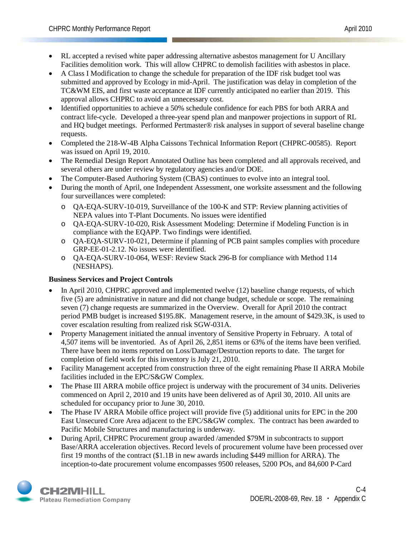- RL accepted a revised white paper addressing alternative asbestos management for U Ancillary Facilities demolition work. This will allow CHPRC to demolish facilities with asbestos in place.
- A Class I Modification to change the schedule for preparation of the IDF risk budget tool was submitted and approved by Ecology in mid-April. The justification was delay in completion of the TC&WM EIS, and first waste acceptance at IDF currently anticipated no earlier than 2019. This approval allows CHPRC to avoid an unnecessary cost.
- Identified opportunities to achieve a 50% schedule confidence for each PBS for both ARRA and contract life-cycle. Developed a three-year spend plan and manpower projections in support of RL and HQ budget meetings. Performed Pertmaster® risk analyses in support of several baseline change requests.
- Completed the 218-W-4B Alpha Caissons Technical Information Report (CHPRC-00585). Report was issued on April 19, 2010.
- The Remedial Design Report Annotated Outline has been completed and all approvals received, and several others are under review by regulatory agencies and/or DOE.
- The Computer-Based Authoring System (CBAS) continues to evolve into an integral tool.
- During the month of April, one Independent Assessment, one worksite assessment and the following four surveillances were completed:
	- o QA-EQA-SURV-10-019, Surveillance of the 100-K and STP: Review planning activities of NEPA values into T-Plant Documents. No issues were identified
	- o QA-EQA-SURV-10-020, Risk Assessment Modeling: Determine if Modeling Function is in compliance with the EQAPP. Two findings were identified.
	- o QA-EQA-SURV-10-021, Determine if planning of PCB paint samples complies with procedure GRP-EE-01-2.12. No issues were identified.
	- o QA-EQA-SURV-10-064, WESF: Review Stack 296-B for compliance with Method 114 (NESHAPS).

#### **Business Services and Project Controls**

- In April 2010, CHPRC approved and implemented twelve (12) baseline change requests, of which five (5) are administrative in nature and did not change budget, schedule or scope. The remaining seven (7) change requests are summarized in the Overview. Overall for April 2010 the contract period PMB budget is increased \$195.8K. Management reserve, in the amount of \$429.3K, is used to cover escalation resulting from realized risk SGW-031A.
- Property Management initiated the annual inventory of Sensitive Property in February. A total of 4,507 items will be inventoried. As of April 26, 2,851 items or 63% of the items have been verified. There have been no items reported on Loss/Damage/Destruction reports to date. The target for completion of field work for this inventory is July 21, 2010.
- Facility Management accepted from construction three of the eight remaining Phase II ARRA Mobile facilities included in the EPC/S&GW Complex.
- The Phase III ARRA mobile office project is underway with the procurement of 34 units. Deliveries commenced on April 2, 2010 and 19 units have been delivered as of April 30, 2010. All units are scheduled for occupancy prior to June 30, 2010.
- The Phase IV ARRA Mobile office project will provide five (5) additional units for EPC in the 200 East Unsecured Core Area adjacent to the EPC/S&GW complex. The contract has been awarded to Pacific Mobile Structures and manufacturing is underway.
- During April, CHPRC Procurement group awarded /amended \$79M in subcontracts to support Base/ARRA acceleration objectives. Record levels of procurement volume have been processed over first 19 months of the contract (\$1.1B in new awards including \$449 million for ARRA). The inception-to-date procurement volume encompasses 9500 releases, 5200 POs, and 84,600 P-Card

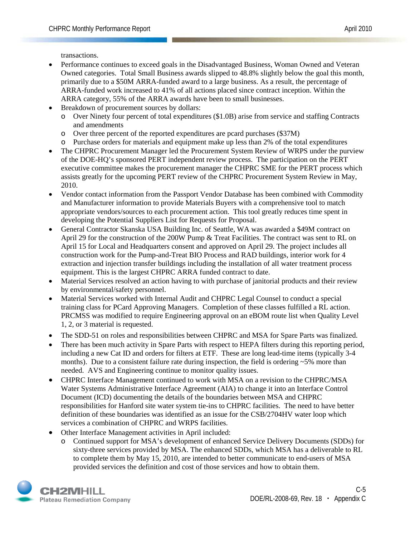transactions.

- Performance continues to exceed goals in the Disadvantaged Business, Woman Owned and Veteran Owned categories. Total Small Business awards slipped to 48.8% slightly below the goal this month, primarily due to a \$50M ARRA-funded award to a large business. As a result, the percentage of ARRA-funded work increased to 41% of all actions placed since contract inception. Within the ARRA category, 55% of the ARRA awards have been to small businesses.
- Breakdown of procurement sources by dollars:
	- o Over Ninety four percent of total expenditures (\$1.0B) arise from service and staffing Contracts and amendments
	- o Over three percent of the reported expenditures are pcard purchases (\$37M)
	- o Purchase orders for materials and equipment make up less than 2% of the total expenditures
- The CHPRC Procurement Manager led the Procurement System Review of WRPS under the purview of the DOE-HQ's sponsored PERT independent review process. The participation on the PERT executive committee makes the procurement manager the CHPRC SME for the PERT process which assists greatly for the upcoming PERT review of the CHPRC Procurement System Review in May, 2010.
- Vendor contact information from the Passport Vendor Database has been combined with Commodity and Manufacturer information to provide Materials Buyers with a comprehensive tool to match appropriate vendors/sources to each procurement action. This tool greatly reduces time spent in developing the Potential Suppliers List for Requests for Proposal.
- General Contractor Skanska USA Building Inc. of Seattle, WA was awarded a \$49M contract on April 29 for the construction of the 200W Pump & Treat Facilities. The contract was sent to RL on April 15 for Local and Headquarters consent and approved on April 29. The project includes all construction work for the Pump-and-Treat BIO Process and RAD buildings, interior work for 4 extraction and injection transfer buildings including the installation of all water treatment process equipment. This is the largest CHPRC ARRA funded contract to date.
- Material Services resolved an action having to with purchase of janitorial products and their review by environmental/safety personnel.
- Material Services worked with Internal Audit and CHPRC Legal Counsel to conduct a special training class for PCard Approving Managers. Completion of these classes fulfilled a RL action. PRCMSS was modified to require Engineering approval on an eBOM route list when Quality Level 1, 2, or 3 material is requested.
- The SDD-51 on roles and responsibilities between CHPRC and MSA for Spare Parts was finalized.
- There has been much activity in Spare Parts with respect to HEPA filters during this reporting period, including a new Cat ID and orders for filters at ETF. These are long lead-time items (typically 3-4 months). Due to a consistent failure rate during inspection, the field is ordering  $\sim$  5% more than needed. AVS and Engineering continue to monitor quality issues.
- CHPRC Interface Management continued to work with MSA on a revision to the CHPRC/MSA Water Systems Administrative Interface Agreement (AIA) to change it into an Interface Control Document (ICD) documenting the details of the boundaries between MSA and CHPRC responsibilities for Hanford site water system tie-ins to CHPRC facilities. The need to have better definition of these boundaries was identified as an issue for the CSB/2704HV water loop which services a combination of CHPRC and WRPS facilities.
- Other Interface Management activities in April included:
	- o Continued support for MSA's development of enhanced Service Delivery Documents (SDDs) for sixty-three services provided by MSA. The enhanced SDDs, which MSA has a deliverable to RL to complete them by May 15, 2010, are intended to better communicate to end-users of MSA provided services the definition and cost of those services and how to obtain them.

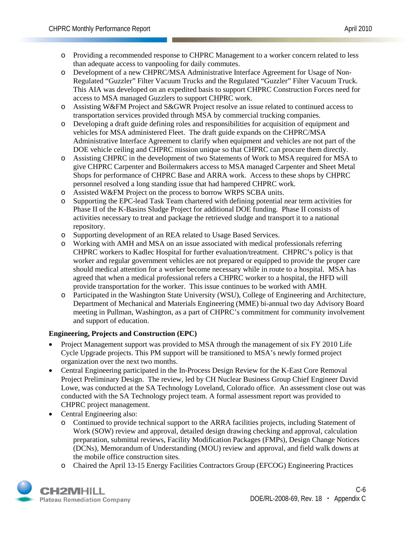- o Providing a recommended response to CHPRC Management to a worker concern related to less than adequate access to vanpooling for daily commutes.
- o Development of a new CHPRC/MSA Administrative Interface Agreement for Usage of Non-Regulated "Guzzler" Filter Vacuum Trucks and the Regulated "Guzzler" Filter Vacuum Truck. This AIA was developed on an expedited basis to support CHPRC Construction Forces need for access to MSA managed Guzzlers to support CHPRC work.
- o Assisting W&FM Project and S&GWR Project resolve an issue related to continued access to transportation services provided through MSA by commercial trucking companies.
- o Developing a draft guide defining roles and responsibilities for acquisition of equipment and vehicles for MSA administered Fleet. The draft guide expands on the CHPRC/MSA Administrative Interface Agreement to clarify when equipment and vehicles are not part of the DOE vehicle ceiling and CHPRC mission unique so that CHPRC can procure them directly.
- o Assisting CHPRC in the development of two Statements of Work to MSA required for MSA to give CHPRC Carpenter and Boilermakers access to MSA managed Carpenter and Sheet Metal Shops for performance of CHPRC Base and ARRA work. Access to these shops by CHPRC personnel resolved a long standing issue that had hampered CHPRC work.
- o Assisted W&FM Project on the process to borrow WRPS SCBA units.
- o Supporting the EPC-lead Task Team chartered with defining potential near term activities for Phase II of the K-Basins Sludge Project for additional DOE funding. Phase II consists of activities necessary to treat and package the retrieved sludge and transport it to a national repository.
- o Supporting development of an REA related to Usage Based Services.
- o Working with AMH and MSA on an issue associated with medical professionals referring CHPRC workers to Kadlec Hospital for further evaluation/treatment. CHPRC's policy is that worker and regular government vehicles are not prepared or equipped to provide the proper care should medical attention for a worker become necessary while in route to a hospital. MSA has agreed that when a medical professional refers a CHPRC worker to a hospital, the HFD will provide transportation for the worker. This issue continues to be worked with AMH.
- o Participated in the Washington State University (WSU), College of Engineering and Architecture, Department of Mechanical and Materials Engineering (MME) bi-annual two day Advisory Board meeting in Pullman, Washington, as a part of CHPRC's commitment for community involvement and support of education.

#### **Engineering, Projects and Construction (EPC)**

- Project Management support was provided to MSA through the management of six FY 2010 Life Cycle Upgrade projects. This PM support will be transitioned to MSA's newly formed project organization over the next two months.
- Central Engineering participated in the In-Process Design Review for the K-East Core Removal Project Preliminary Design. The review, led by CH Nuclear Business Group Chief Engineer David Lowe, was conducted at the SA Technology Loveland, Colorado office. An assessment close out was conducted with the SA Technology project team. A formal assessment report was provided to CHPRC project management.
- Central Engineering also:
	- o Continued to provide technical support to the ARRA facilities projects, including Statement of Work (SOW) review and approval, detailed design drawing checking and approval, calculation preparation, submittal reviews, Facility Modification Packages (FMPs), Design Change Notices (DCNs), Memorandum of Understanding (MOU) review and approval, and field walk downs at the mobile office construction sites.
	- o Chaired the April 13-15 Energy Facilities Contractors Group (EFCOG) Engineering Practices

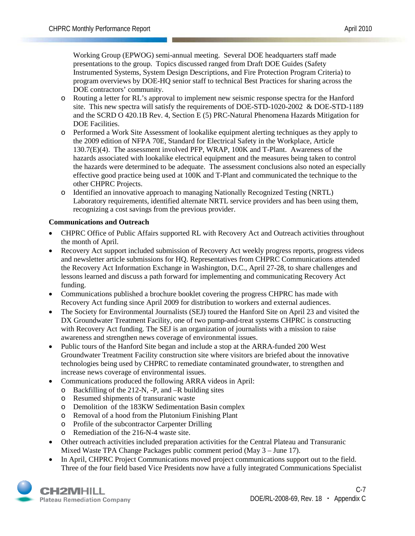Working Group (EPWOG) semi-annual meeting. Several DOE headquarters staff made presentations to the group. Topics discussed ranged from Draft DOE Guides (Safety Instrumented Systems, System Design Descriptions, and Fire Protection Program Criteria) to program overviews by DOE-HQ senior staff to technical Best Practices for sharing across the DOE contractors' community.

- o Routing a letter for RL's approval to implement new seismic response spectra for the Hanford site. This new spectra will satisfy the requirements of DOE-STD-1020-2002 & DOE-STD-1189 and the SCRD O 420.1B Rev. 4, Section E (5) PRC-Natural Phenomena Hazards Mitigation for DOE Facilities.
- o Performed a Work Site Assessment of lookalike equipment alerting techniques as they apply to the 2009 edition of NFPA 70E, Standard for Electrical Safety in the Workplace, Article 130.7(E)(4). The assessment involved PFP, WRAP, 100K and T-Plant. Awareness of the hazards associated with lookalike electrical equipment and the measures being taken to control the hazards were determined to be adequate. The assessment conclusions also noted an especially effective good practice being used at 100K and T-Plant and communicated the technique to the other CHPRC Projects.
- o Identified an innovative approach to managing Nationally Recognized Testing (NRTL) Laboratory requirements, identified alternate NRTL service providers and has been using them, recognizing a cost savings from the previous provider.

#### **Communications and Outreach**

- CHPRC Office of Public Affairs supported RL with Recovery Act and Outreach activities throughout the month of April.
- Recovery Act support included submission of Recovery Act weekly progress reports, progress videos and newsletter article submissions for HQ. Representatives from CHPRC Communications attended the Recovery Act Information Exchange in Washington, D.C., April 27-28, to share challenges and lessons learned and discuss a path forward for implementing and communicating Recovery Act funding.
- Communications published a brochure booklet covering the progress CHPRC has made with Recovery Act funding since April 2009 for distribution to workers and external audiences.
- The Society for Environmental Journalists (SEJ) toured the Hanford Site on April 23 and visited the DX Groundwater Treatment Facility, one of two pump-and-treat systems CHPRC is constructing with Recovery Act funding. The SEJ is an organization of journalists with a mission to raise awareness and strengthen news coverage of environmental issues.
- Public tours of the Hanford Site began and include a stop at the ARRA-funded 200 West Groundwater Treatment Facility construction site where visitors are briefed about the innovative technologies being used by CHPRC to remediate contaminated groundwater, to strengthen and increase news coverage of environmental issues.
- Communications produced the following ARRA videos in April:
	- o Backfilling of the 212-N, -P, and –R building sites
	- o Resumed shipments of transuranic waste
	- o Demolition of the 183KW Sedimentation Basin complex
	- o Removal of a hood from the Plutonium Finishing Plant
	- o Profile of the subcontractor Carpenter Drilling
	- o Remediation of the 216-N-4 waste site.
- Other outreach activities included preparation activities for the Central Plateau and Transuranic Mixed Waste TPA Change Packages public comment period (May 3 – June 17).
- In April, CHPRC Project Communications moved project communications support out to the field. Three of the four field based Vice Presidents now have a fully integrated Communications Specialist

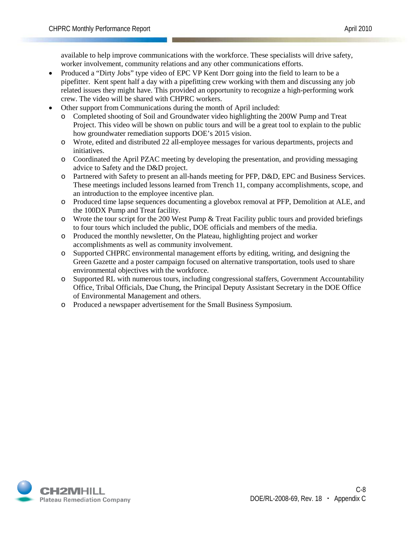available to help improve communications with the workforce. These specialists will drive safety, worker involvement, community relations and any other communications efforts.

- Produced a "Dirty Jobs" type video of EPC VP Kent Dorr going into the field to learn to be a pipefitter. Kent spent half a day with a pipefitting crew working with them and discussing any job related issues they might have. This provided an opportunity to recognize a high-performing work crew. The video will be shared with CHPRC workers.
- Other support from Communications during the month of April included:
	- o Completed shooting of Soil and Groundwater video highlighting the 200W Pump and Treat Project. This video will be shown on public tours and will be a great tool to explain to the public how groundwater remediation supports DOE's 2015 vision.
	- o Wrote, edited and distributed 22 all-employee messages for various departments, projects and initiatives.
	- o Coordinated the April PZAC meeting by developing the presentation, and providing messaging advice to Safety and the D&D project.
	- o Partnered with Safety to present an all-hands meeting for PFP, D&D, EPC and Business Services. These meetings included lessons learned from Trench 11, company accomplishments, scope, and an introduction to the employee incentive plan.
	- o Produced time lapse sequences documenting a glovebox removal at PFP, Demolition at ALE, and the 100DX Pump and Treat facility.
	- $\circ$  Wrote the tour script for the 200 West Pump & Treat Facility public tours and provided briefings to four tours which included the public, DOE officials and members of the media.
	- o Produced the monthly newsletter, On the Plateau, highlighting project and worker accomplishments as well as community involvement.
	- o Supported CHPRC environmental management efforts by editing, writing, and designing the Green Gazette and a poster campaign focused on alternative transportation, tools used to share environmental objectives with the workforce.
	- o Supported RL with numerous tours, including congressional staffers, Government Accountability Office, Tribal Officials, Dae Chung, the Principal Deputy Assistant Secretary in the DOE Office of Environmental Management and others.
	- o Produced a newspaper advertisement for the Small Business Symposium.

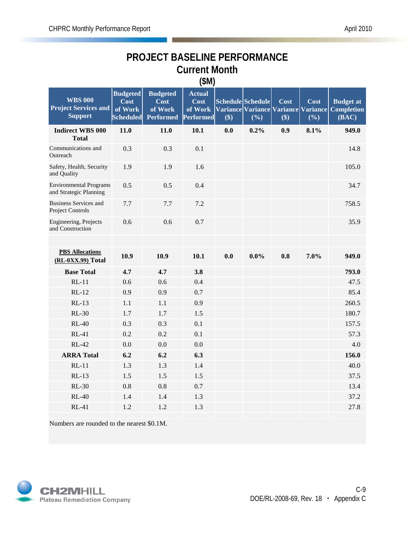### **PROJECT BASELINE PERFORMANCE Current Month (\$M)**

|                                                                 |                                                        |                                                        | $($ $)$                                              |     |                          |             |             |                                                                             |
|-----------------------------------------------------------------|--------------------------------------------------------|--------------------------------------------------------|------------------------------------------------------|-----|--------------------------|-------------|-------------|-----------------------------------------------------------------------------|
| <b>WBS 000</b><br><b>Project Services and</b><br><b>Support</b> | <b>Budgeted</b><br>Cost<br>of Work<br><b>Scheduled</b> | <b>Budgeted</b><br>Cost<br>of Work<br><b>Performed</b> | <b>Actual</b><br>Cost<br>of Work<br><b>Performed</b> | \$) | Schedule Schedule<br>(%) | Cost<br>\$) | Cost<br>(%) | <b>Budget at</b><br>Variance Variance Variance Variance Completion<br>(BAC) |
| <b>Indirect WBS 000</b><br><b>Total</b>                         | 11.0                                                   | 11.0                                                   | 10.1                                                 | 0.0 | 0.2%                     | 0.9         | 8.1%        | 949.0                                                                       |
| Communications and<br>Outreach                                  | 0.3                                                    | 0.3                                                    | 0.1                                                  |     |                          |             |             | 14.8                                                                        |
| Safety, Health, Security<br>and Quality                         | 1.9                                                    | 1.9                                                    | 1.6                                                  |     |                          |             |             | 105.0                                                                       |
| <b>Environmental Programs</b><br>and Strategic Planning         | 0.5                                                    | 0.5                                                    | 0.4                                                  |     |                          |             |             | 34.7                                                                        |
| <b>Business Services and</b><br>Project Controls                | 7.7                                                    | 7.7                                                    | 7.2                                                  |     |                          |             |             | 758.5                                                                       |
| Engineering, Projects<br>and Construction                       | 0.6                                                    | 0.6                                                    | 0.7                                                  |     |                          |             |             | 35.9                                                                        |
|                                                                 |                                                        |                                                        |                                                      |     |                          |             |             |                                                                             |
| <b>PBS Allocations</b><br>(RL-0XX.99) Total                     | 10.9                                                   | 10.9                                                   | 10.1                                                 | 0.0 | $0.0\%$                  | 0.8         | 7.0%        | 949.0                                                                       |
| <b>Base Total</b>                                               | 4.7                                                    | 4.7                                                    | 3.8                                                  |     |                          |             |             | 793.0                                                                       |
| $RL-11$                                                         | 0.6                                                    | 0.6                                                    | 0.4                                                  |     |                          |             |             | 47.5                                                                        |
| $RL-12$                                                         | 0.9                                                    | 0.9                                                    | 0.7                                                  |     |                          |             |             | 85.4                                                                        |
| $RL-13$                                                         | 1.1                                                    | 1.1                                                    | 0.9                                                  |     |                          |             |             | 260.5                                                                       |
| <b>RL-30</b>                                                    | 1.7                                                    | 1.7                                                    | 1.5                                                  |     |                          |             |             | 180.7                                                                       |
| $RL-40$                                                         | 0.3                                                    | 0.3                                                    | 0.1                                                  |     |                          |             |             | 157.5                                                                       |
| $RL-41$                                                         | 0.2                                                    | 0.2                                                    | 0.1                                                  |     |                          |             |             | 57.3                                                                        |
| <b>RL-42</b>                                                    | 0.0                                                    | 0.0                                                    | 0.0                                                  |     |                          |             |             | 4.0                                                                         |
| <b>ARRA Total</b>                                               | 6.2                                                    | 6.2                                                    | 6.3                                                  |     |                          |             |             | 156.0                                                                       |
| $RL-11$                                                         | 1.3                                                    | 1.3                                                    | 1.4                                                  |     |                          |             |             | 40.0                                                                        |
| $RL-13$                                                         | 1.5                                                    | 1.5                                                    | 1.5                                                  |     |                          |             |             | 37.5                                                                        |
| <b>RL-30</b>                                                    | 0.8                                                    | 0.8                                                    | 0.7                                                  |     |                          |             |             | 13.4                                                                        |
| $RL-40$                                                         | 1.4                                                    | 1.4                                                    | 1.3                                                  |     |                          |             |             | 37.2                                                                        |
| $RL-41$                                                         | 1.2                                                    | 1.2                                                    | 1.3                                                  |     |                          |             |             | 27.8                                                                        |
|                                                                 |                                                        |                                                        |                                                      |     |                          |             |             |                                                                             |

Numbers are rounded to the nearest \$0.1M.

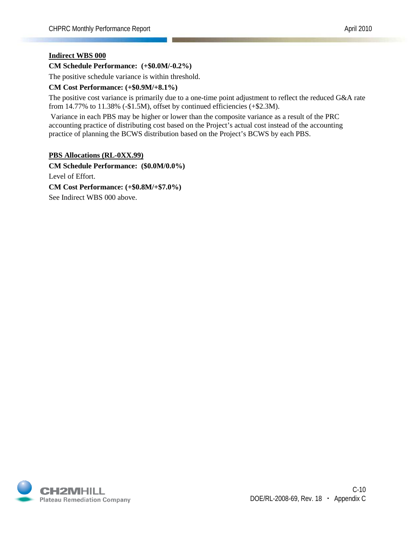#### **Indirect WBS 000**

#### **CM Schedule Performance: (+\$0.0M/-0.2%)**

The positive schedule variance is within threshold.

#### **CM Cost Performance: (+\$0.9M/+8.1%)**

The positive cost variance is primarily due to a one-time point adjustment to reflect the reduced G&A rate from  $14.77\%$  to  $11.38\%$  (-\$1.5M), offset by continued efficiencies (+\$2.3M).

Variance in each PBS may be higher or lower than the composite variance as a result of the PRC accounting practice of distributing cost based on the Project's actual cost instead of the accounting practice of planning the BCWS distribution based on the Project's BCWS by each PBS.

#### **PBS Allocations (RL-0XX.99)**

**CM Schedule Performance: (\$0.0M/0.0%)** Level of Effort. **CM Cost Performance: (+\$0.8M/+\$7.0%)** See Indirect WBS 000 above.

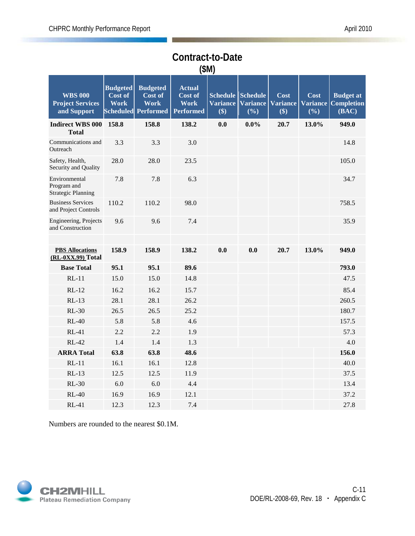| (SM)                                                      |                                           |                                                                  |                                                             |                                           |                                           |                                |                                |                                                |
|-----------------------------------------------------------|-------------------------------------------|------------------------------------------------------------------|-------------------------------------------------------------|-------------------------------------------|-------------------------------------------|--------------------------------|--------------------------------|------------------------------------------------|
| <b>WBS 000</b><br><b>Project Services</b><br>and Support  | <b>Budgeted</b><br>Cost of<br><b>Work</b> | <b>Budgeted</b><br>Cost of<br><b>Work</b><br>Scheduled Performed | <b>Actual</b><br>Cost of<br><b>Work</b><br><b>Performed</b> | <b>Schedule</b><br><b>Variance</b><br>\$) | <b>Schedule</b><br><b>Variance</b><br>(%) | Cost<br><b>Variance</b><br>\$) | Cost<br><b>Variance</b><br>(%) | <b>Budget at</b><br><b>Completion</b><br>(BAC) |
| <b>Indirect WBS 000</b><br><b>Total</b>                   | 158.8                                     | 158.8                                                            | 138.2                                                       | 0.0                                       | $0.0\%$                                   | 20.7                           | 13.0%                          | 949.0                                          |
| Communications and<br>Outreach                            | 3.3                                       | 3.3                                                              | 3.0                                                         |                                           |                                           |                                |                                | 14.8                                           |
| Safety, Health,<br>Security and Quality                   | 28.0                                      | 28.0                                                             | 23.5                                                        |                                           |                                           |                                |                                | 105.0                                          |
| Environmental<br>Program and<br><b>Strategic Planning</b> | 7.8                                       | 7.8                                                              | 6.3                                                         |                                           |                                           |                                |                                | 34.7                                           |
| <b>Business Services</b><br>and Project Controls          | 110.2                                     | 110.2                                                            | 98.0                                                        |                                           |                                           |                                |                                | 758.5                                          |
| Engineering, Projects<br>and Construction                 | 9.6                                       | 9.6                                                              | 7.4                                                         |                                           |                                           |                                |                                | 35.9                                           |
| <b>PBS Allocations</b><br>(RL-0XX.99) Total               | 158.9                                     | 158.9                                                            | 138.2                                                       | 0.0                                       | 0.0                                       | 20.7                           | 13.0%                          | 949.0                                          |
| <b>Base Total</b>                                         | 95.1                                      | 95.1                                                             | 89.6                                                        |                                           |                                           |                                |                                | 793.0                                          |
| $RL-11$                                                   | 15.0                                      | 15.0                                                             | 14.8                                                        |                                           |                                           |                                |                                | 47.5                                           |
| $RL-12$                                                   | 16.2                                      | 16.2                                                             | 15.7                                                        |                                           |                                           |                                |                                | 85.4                                           |
| $RL-13$                                                   | 28.1                                      | 28.1                                                             | 26.2                                                        |                                           |                                           |                                |                                | 260.5                                          |
| $RL-30$                                                   | 26.5                                      | 26.5                                                             | 25.2                                                        |                                           |                                           |                                |                                | 180.7                                          |
| $RL-40$                                                   | 5.8                                       | 5.8                                                              | 4.6                                                         |                                           |                                           |                                |                                | 157.5                                          |
| $RL-41$                                                   | 2.2                                       | 2.2                                                              | 1.9                                                         |                                           |                                           |                                |                                | 57.3                                           |
| <b>RL-42</b>                                              | 1.4                                       | 1.4                                                              | 1.3                                                         |                                           |                                           |                                |                                | 4.0                                            |
| <b>ARRA Total</b>                                         | 63.8                                      | 63.8                                                             | 48.6                                                        |                                           |                                           |                                |                                | 156.0                                          |
| $RL-11$                                                   | 16.1                                      | 16.1                                                             | 12.8                                                        |                                           |                                           |                                |                                | 40.0                                           |
| $RL-13$                                                   | 12.5                                      | 12.5                                                             | 11.9                                                        |                                           |                                           |                                |                                | 37.5                                           |
| $RL-30$                                                   | 6.0                                       | 6.0                                                              | 4.4                                                         |                                           |                                           |                                |                                | 13.4                                           |
| $RL-40$                                                   | 16.9                                      | 16.9                                                             | 12.1                                                        |                                           |                                           |                                |                                | 37.2                                           |
| $RL-41$                                                   | 12.3                                      | 12.3                                                             | 7.4                                                         |                                           |                                           |                                |                                | 27.8                                           |

# **Contract-to-Date**

Numbers are rounded to the nearest \$0.1M.

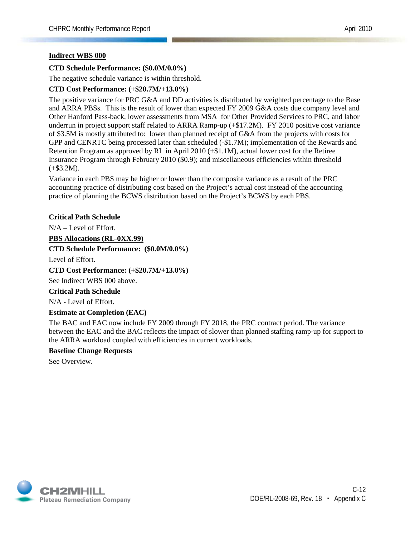#### **Indirect WBS 000**

#### **CTD Schedule Performance: (\$0.0M/0.0%)**

The negative schedule variance is within threshold.

#### **CTD Cost Performance: (+\$20.7M/+13.0%)**

The positive variance for PRC G&A and DD activities is distributed by weighted percentage to the Base and ARRA PBSs. This is the result of lower than expected FY 2009 G&A costs due company level and Other Hanford Pass-back, lower assessments from MSA for Other Provided Services to PRC, and labor underrun in project support staff related to ARRA Ramp-up (+\$17.2M). FY 2010 positive cost variance of \$3.5M is mostly attributed to: lower than planned receipt of G&A from the projects with costs for GPP and CENRTC being processed later than scheduled (-\$1.7M); implementation of the Rewards and Retention Program as approved by RL in April 2010 (+\$1.1M), actual lower cost for the Retiree Insurance Program through February 2010 (\$0.9); and miscellaneous efficiencies within threshold  $(+\$3.2M).$ 

Variance in each PBS may be higher or lower than the composite variance as a result of the PRC accounting practice of distributing cost based on the Project's actual cost instead of the accounting practice of planning the BCWS distribution based on the Project's BCWS by each PBS.

#### **Critical Path Schedule**

N/A – Level of Effort.

#### **PBS Allocations (RL-0XX.99)**

**CTD Schedule Performance: (\$0.0M/0.0%)**

Level of Effort.

#### **CTD Cost Performance: (+\$20.7M/+13.0%)**

See Indirect WBS 000 above.

#### **Critical Path Schedule**

N/A - Level of Effort.

#### **Estimate at Completion (EAC)**

The BAC and EAC now include FY 2009 through FY 2018, the PRC contract period. The variance between the EAC and the BAC reflects the impact of slower than planned staffing ramp-up for support to the ARRA workload coupled with efficiencies in current workloads.

#### **Baseline Change Requests**

See Overview.

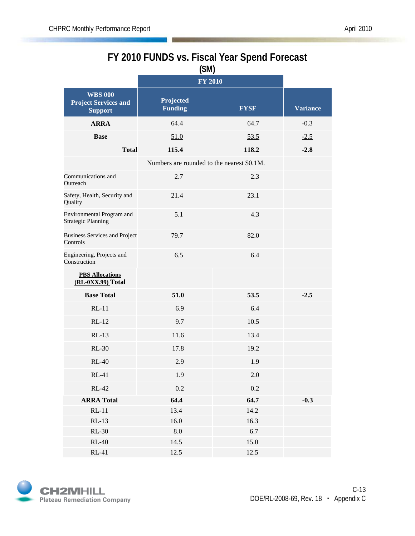### **FY 2010 FUNDS vs. Fiscal Year Spend Forecast (\$M)**

|                                                                 | <b>FY 2010</b>                             |             |                 |
|-----------------------------------------------------------------|--------------------------------------------|-------------|-----------------|
| <b>WBS 000</b><br><b>Project Services and</b><br><b>Support</b> | Projected<br><b>Funding</b>                | <b>FYSF</b> | <b>Variance</b> |
| <b>ARRA</b>                                                     | 64.4                                       | 64.7        | $-0.3$          |
| <b>Base</b>                                                     | 51.0                                       | 53.5        | $-2.5$          |
| <b>Total</b>                                                    | 115.4                                      | 118.2       | $-2.8$          |
|                                                                 | Numbers are rounded to the nearest \$0.1M. |             |                 |
| Communications and<br>Outreach                                  | 2.7                                        | 2.3         |                 |
| Safety, Health, Security and<br>Quality                         | 21.4                                       | 23.1        |                 |
| Environmental Program and<br><b>Strategic Planning</b>          | 5.1                                        | 4.3         |                 |
| <b>Business Services and Project</b><br>Controls                | 79.7                                       | 82.0        |                 |
| Engineering, Projects and<br>Construction                       | 6.5                                        | 6.4         |                 |
| <b>PBS Allocations</b><br>(RL-0XX.99) Total                     |                                            |             |                 |
| <b>Base Total</b>                                               | 51.0                                       | 53.5        | $-2.5$          |
| $RL-11$                                                         | 6.9                                        | 6.4         |                 |
| $RL-12$                                                         | 9.7                                        | 10.5        |                 |
| $RL-13$                                                         | 11.6                                       | 13.4        |                 |
| $RL-30$                                                         | 17.8                                       | 19.2        |                 |
| $RL-40$                                                         | 2.9                                        | 1.9         |                 |
| $RL-41$                                                         | 1.9                                        | $2.0\,$     |                 |
| $RL-42$                                                         | $0.2\,$                                    | $0.2\,$     |                 |
| <b>ARRA Total</b>                                               | 64.4                                       | 64.7        | $-0.3$          |
| $RL-11$                                                         | 13.4                                       | 14.2        |                 |
| $RL-13$                                                         | 16.0                                       | 16.3        |                 |
| <b>RL-30</b>                                                    | $8.0\,$                                    | 6.7         |                 |
| $RL-40$                                                         | 14.5                                       | 15.0        |                 |
| $RL-41$                                                         | 12.5                                       | 12.5        |                 |